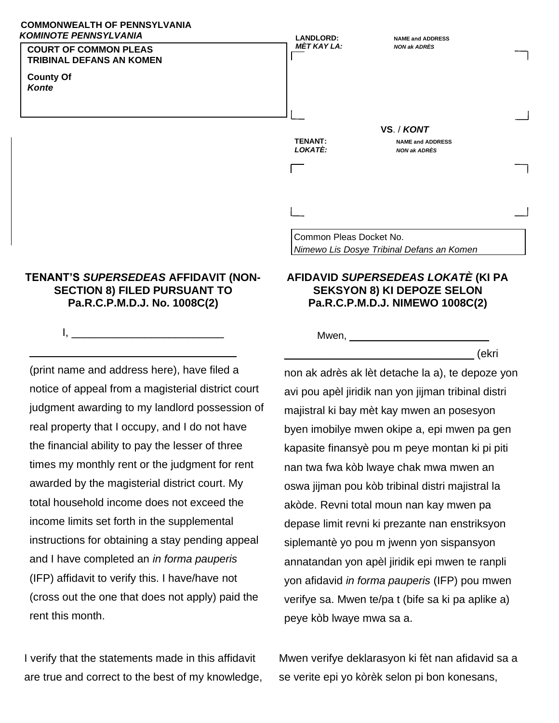## **COMMONWEALTH OF PENNSYLVANIA KOMINOTE PENNSYLVANIA**

## **COURT OF COMMON PLEAS TRIBINAL DEFANS AN KOMEN**

**County Of** Konte

**LANDLORD:** MÈT KAY LA:

**TENANT:** 

LOKATÈ:

**NAME and ADDRESS NON ak ADRÈS** 

VS. / KONT **NAME and ADDRESS NON ak ADRÈS** 

## **TENANT'S SUPERSEDEAS AFFIDAVIT (NON-SECTION 8) FILED PURSUANT TO** Pa.R.C.P.M.D.J. No. 1008C(2)

 $\mathbf{I}_{\mathbf{A}}$ 

(print name and address here), have filed a notice of appeal from a magisterial district court judgment awarding to my landlord possession of real property that I occupy, and I do not have the financial ability to pay the lesser of three times my monthly rent or the judgment for rent awarded by the magisterial district court. My total household income does not exceed the income limits set forth in the supplemental instructions for obtaining a stay pending appeal and I have completed an in forma pauperis (IFP) affidavit to verify this. I have/have not (cross out the one that does not apply) paid the rent this month.

I verify that the statements made in this affidavit are true and correct to the best of my knowledge,

Common Pleas Docket No. Nimewo Lis Dosye Tribinal Defans an Komen

## AFIDAVID SUPERSEDEAS LOKATÈ (KI PA **SEKSYON 8) KI DEPOZE SELON** Pa.R.C.P.M.D.J. NIMEWO 1008C(2)

Mwen, \_\_\_\_\_\_\_\_\_\_\_\_\_\_\_\_\_\_\_

(ekri

non ak adrès ak lèt detache la a), te depoze yon avi pou apèl jiridik nan yon jijman tribinal distri majistral ki bay mèt kay mwen an posesyon byen imobilye mwen okipe a, epi mwen pa gen kapasite finansyè pou m peye montan ki pi piti nan twa fwa kòb lwaye chak mwa mwen an oswa jijman pou kòb tribinal distri majistral la akòde. Revni total moun nan kay mwen pa depase limit revni ki prezante nan enstriksyon siplemantè yo pou m jwenn yon sispansyon annatandan yon apèl jiridik epi mwen te ranpli yon afidavid in forma pauperis (IFP) pou mwen verifye sa. Mwen te/pa t (bife sa ki pa aplike a) peye kòb lwaye mwa sa a.

Mwen verifye deklarasyon ki fèt nan afidavid sa a se verite epi yo kòrèk selon pi bon konesans,